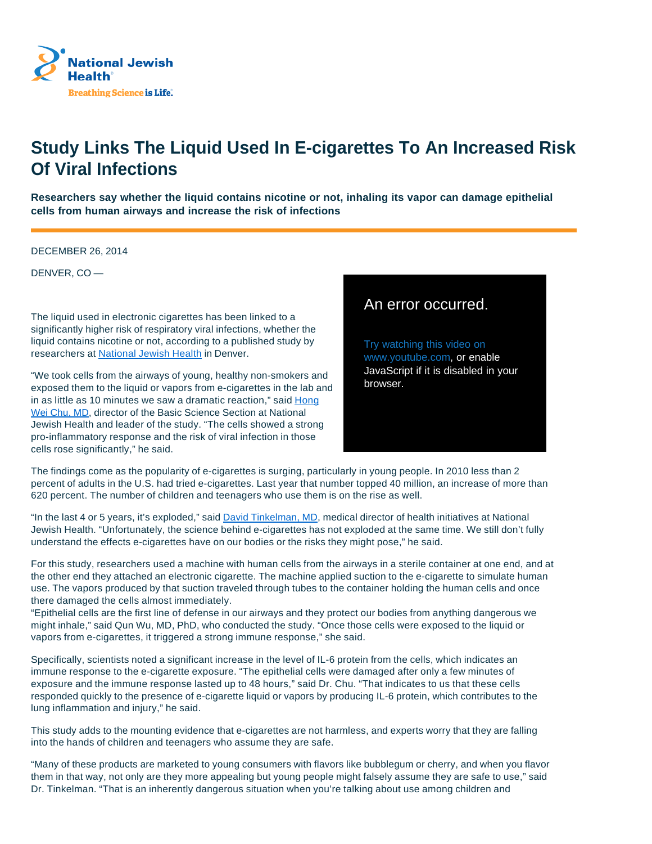

## **Study Links The Liquid Used In E-cigarettes To An Increased Risk Of Viral Infections**

**Researchers say whether the liquid contains nicotine or not, inhaling its vapor can damage epithelial cells from human airways and increase the risk of infections**

DECEMBER 26, 2014

DENVER, CO —

The liquid used in electronic cigarettes has been linked to a significantly higher risk of respiratory viral infections, whether the liquid contains nicotine or not, according to a published study by researchers at National Jewish Health in Denver.

"We took cells from the airways of young, healthy non-smokers and exposed them to the liquid or vapors from e-cigarettes in the lab and in as little as 10 minutes we saw a dramatic reaction," said Hong Wei Chu, MD, director of the Basic Science Section at National Jewish Health and leader of the study. "The cells showed a strong pro-inflammatory response and the risk of viral infection in those cells rose significantly," he said.

## An error occurred.

Try watching this video on www.youtube.com, or enable JavaScript if it is disabled in your browser.

The findings come as the popularity of e-cigarettes is surging, particularly in young people. In 2010 less than 2 percent of adults in the U.S. had tried e-cigarettes. Last year that number topped 40 million, an increase of more than 620 percent. The number of children and teenagers who use them is on the rise as well.

"In the last 4 or 5 years, it's exploded," said David Tinkelman, MD, medical director of health initiatives at National Jewish Health. "Unfortunately, the science behind e-cigarettes has not exploded at the same time. We still don't fully understand the effects e-cigarettes have on our bodies or the risks they might pose," he said.

For this study, researchers used a machine with human cells from the airways in a sterile container at one end, and at the other end they attached an electronic cigarette. The machine applied suction to the e-cigarette to simulate human use. The vapors produced by that suction traveled through tubes to the container holding the human cells and once there damaged the cells almost immediately.

"Epithelial cells are the first line of defense in our airways and they protect our bodies from anything dangerous we might inhale," said Qun Wu, MD, PhD, who conducted the study. "Once those cells were exposed to the liquid or vapors from e-cigarettes, it triggered a strong immune response," she said.

Specifically, scientists noted a significant increase in the level of IL-6 protein from the cells, which indicates an immune response to the e-cigarette exposure. "The epithelial cells were damaged after only a few minutes of exposure and the immune response lasted up to 48 hours," said Dr. Chu. "That indicates to us that these cells responded quickly to the presence of e-cigarette liquid or vapors by producing IL-6 protein, which contributes to the lung inflammation and injury," he said.

This study adds to the mounting evidence that e-cigarettes are not harmless, and experts worry that they are falling into the hands of children and teenagers who assume they are safe.

"Many of these products are marketed to young consumers with flavors like bubblegum or cherry, and when you flavor them in that way, not only are they more appealing but young people might falsely assume they are safe to use," said Dr. Tinkelman. "That is an inherently dangerous situation when you're talking about use among children and